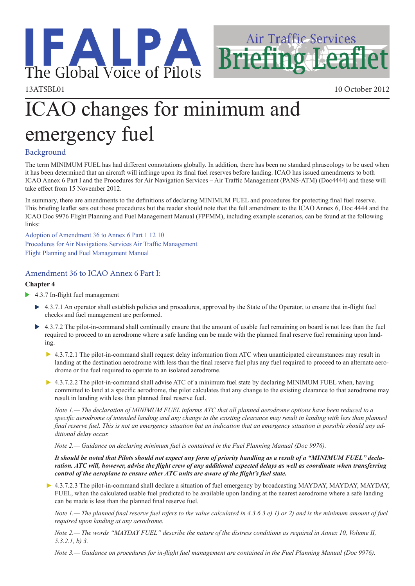

13ATSBL01 10 October 2012

**Air Traffic Services** 

**Briefing Leaflet** 

# ICAO changes for minimum and emergency fuel

## Background

The term MINIMUM FUEL has had different connotations globally. In addition, there has been no standard phraseology to be used when it has been determined that an aircraft will infringe upon its final fuel reserves before landing. ICAO has issued amendments to both ICAO Annex 6 Part I and the Procedures for Air Navigation Services – Air Traffic Management (PANS-ATM) (Doc4444) and these will take effect from 15 November 2012.

In summary, there are amendments to the definitions of declaring MINIMUM FUEL and procedures for protecting final fuel reserve. This briefing leaflet sets out those procedures but the reader should note that the full amendment to the ICAO Annex 6, Doc 4444 and the ICAO Doc 9976 Flight Planning and Fuel Management Manual (FPFMM), including example scenarios, can be found at the following links:

[Adoption of Amendment 36 to Annex 6 Part 1 12 10](http://www.ifalpa.org/store/amend36.pdf) [Procedures for Air Navigations Services Air Traffic Management](http://www.ifalpa.org/store/pans-atm.docx) [Flight Planning and Fuel Management Manual](http://www.ifalpa.org/store/doc9976.pdf)

# Amendment 36 to ICAO Annex 6 Part I:

#### **Chapter 4**

- ▶ 4.3.7 In-flight fuel management
	- ▶ 4.3.7.1 An operator shall establish policies and procedures, approved by the State of the Operator, to ensure that in-flight fuel checks and fuel management are performed.
	- 4.3.7.2 The pilot-in-command shall continually ensure that the amount of usable fuel remaining on board is not less than the fuel  $\blacktriangleright$ required to proceed to an aerodrome where a safe landing can be made with the planned final reserve fuel remaining upon landing.
		- ▶ 4.3.7.2.1 The pilot-in-command shall request delay information from ATC when unanticipated circumstances may result in landing at the destination aerodrome with less than the final reserve fuel plus any fuel required to proceed to an alternate aerodrome or the fuel required to operate to an isolated aerodrome.
		- ▶ 4.3.7.2.2 The pilot-in-command shall advise ATC of a minimum fuel state by declaring MINIMUM FUEL when, having committed to land at a specific aerodrome, the pilot calculates that any change to the existing clearance to that aerodrome may result in landing with less than planned final reserve fuel.

*Note 1.— The declaration of MINIMUM FUEL informs ATC that all planned aerodrome options have been reduced to a specific aerodrome of intended landing and any change to the existing clearance may result in landing with less than planned final reserve fuel. This is not an emergency situation but an indication that an emergency situation is possible should any additional delay occur.*

*Note 2.— Guidance on declaring minimum fuel is contained in the Fuel Planning Manual (Doc 9976).*

*It should be noted that Pilots should not expect any form of priority handling as a result of a "MINIMUM FUEL" declaration. ATC will, however, advise the flight crew of any additional expected delays as well as coordinate when transferring control of the aeroplane to ensure other ATC units are aware of the flight's fuel state.*

▶ 4.3.7.2.3 The pilot-in-command shall declare a situation of fuel emergency by broadcasting MAYDAY, MAYDAY, MAYDAY, FUEL, when the calculated usable fuel predicted to be available upon landing at the nearest aerodrome where a safe landing can be made is less than the planned final reserve fuel.

*Note 1.— The planned final reserve fuel refers to the value calculated in 4.3.6.3 e) 1) or 2) and is the minimum amount of fuel required upon landing at any aerodrome.*

*Note 2.— The words "MAYDAY FUEL" describe the nature of the distress conditions as required in Annex 10, Volume II, 5.3.2.1, b) 3.*

*Note 3.— Guidance on procedures for in-flight fuel management are contained in the Fuel Planning Manual (Doc 9976).*